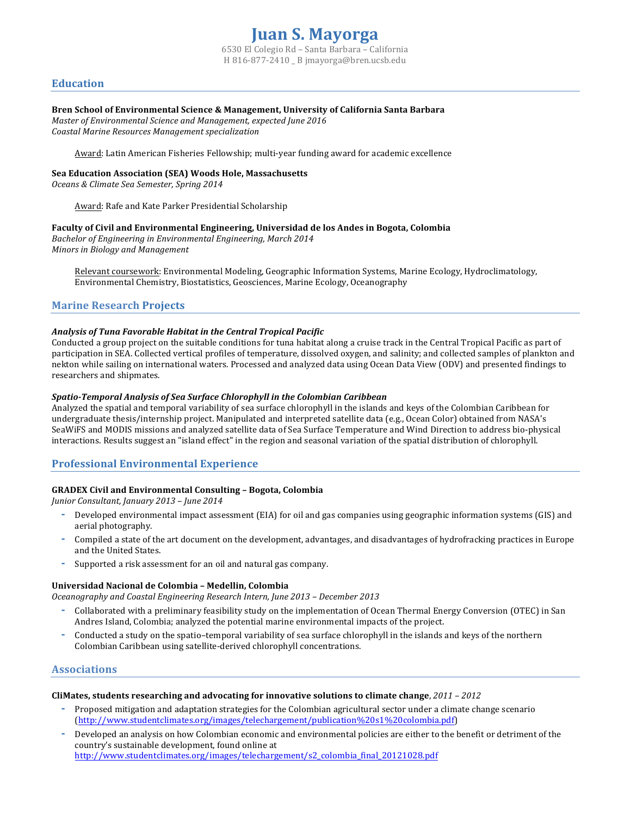## **Education**

### Bren School of Environmental Science & Management, University of California Santa Barbara

*Master of Environmental Science and Management, expected June 2016 Coastal Marine Resources Management specialization*

Award: Latin American Fisheries Fellowship; multi-year funding award for academic excellence

### **Sea Education Association (SEA) Woods Hole, Massachusetts**

*Oceans & Climate Sea Semester, Spring 2014*

Award: Rafe and Kate Parker Presidential Scholarship

### Faculty of Civil and Environmental Engineering, Universidad de los Andes in Bogota, Colombia

*Bachelor of Engineering in Environmental Engineering, March 2014 Minors in Biology and Management* 

Relevant coursework: Environmental Modeling, Geographic Information Systems, Marine Ecology, Hydroclimatology, Environmental Chemistry, Biostatistics, Geosciences, Marine Ecology, Oceanography

## **Marine Research Projects**

## Analysis of Tuna Favorable Habitat in the Central Tropical Pacific

Conducted a group project on the suitable conditions for tuna habitat along a cruise track in the Central Tropical Pacific as part of participation in SEA. Collected vertical profiles of temperature, dissolved oxygen, and salinity; and collected samples of plankton and nekton while sailing on international waters. Processed and analyzed data using Ocean Data View (ODV) and presented findings to researchers and shipmates.

### **Spatio-Temporal Analysis of Sea Surface Chlorophyll in the Colombian Caribbean**

Analyzed the spatial and temporal variability of sea surface chlorophyll in the islands and keys of the Colombian Caribbean for undergraduate thesis/internship project. Manipulated and interpreted satellite data (e.g., Ocean Color) obtained from NASA's SeaWiFS and MODIS missions and analyzed satellite data of Sea Surface Temperature and Wind Direction to address bio-physical interactions. Results suggest an "island effect" in the region and seasonal variation of the spatial distribution of chlorophyll.

## **Professional Environmental Experience**

## **GRADEX Civil and Environmental Consulting – Bogota, Colombia**

*Junior Consultant, January 2013 – June 2014*

- Developed environmental impact assessment (EIA) for oil and gas companies using geographic information systems (GIS) and aerial photography.
- Compiled a state of the art document on the development, advantages, and disadvantages of hydrofracking practices in Europe and the United States.
- Supported a risk assessment for an oil and natural gas company.

### **Universidad Nacional de Colombia – Medellin, Colombia**

*Oceanography and Coastal Engineering Research Intern, June 2013 – December 2013*

- Collaborated with a preliminary feasibility study on the implementation of Ocean Thermal Energy Conversion (OTEC) in San Andres Island, Colombia; analyzed the potential marine environmental impacts of the project.
- Conducted a study on the spatio-temporal variability of sea surface chlorophyll in the islands and keys of the northern Colombian Caribbean using satellite-derived chlorophyll concentrations.

## **Associations**

#### **CliMates, students researching and advocating for innovative solutions to climate change,**  $2011 - 2012$

- Proposed mitigation and adaptation strategies for the Colombian agricultural sector under a climate change scenario (http://www.studentclimates.org/images/telechargement/publication%20s1%20colombia.pdf)
- Developed an analysis on how Colombian economic and environmental policies are either to the benefit or detriment of the country's sustainable development, found online at http://www.studentclimates.org/images/telechargement/s2\_colombia\_final\_20121028.pdf